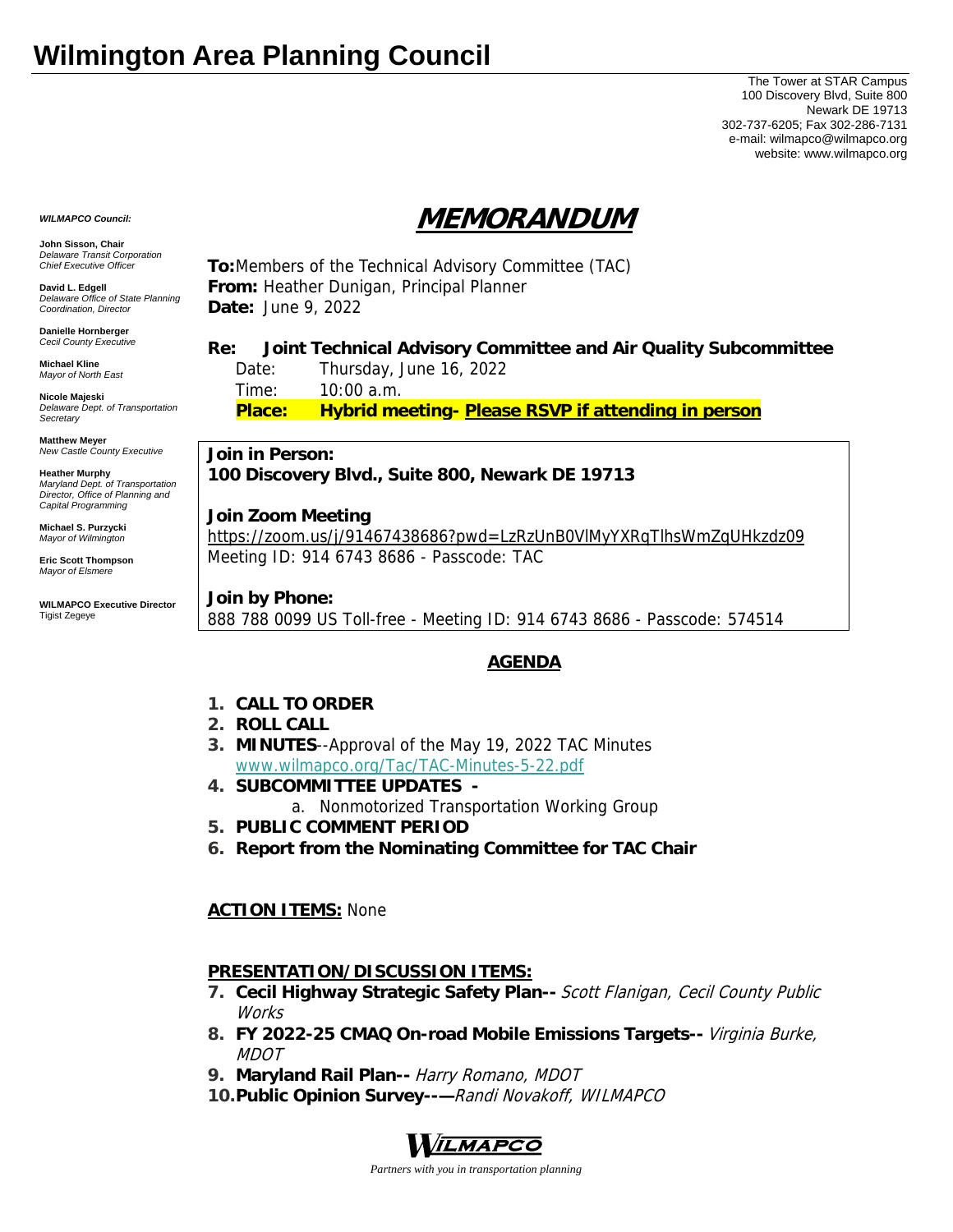# **Wilmington Area Planning Council**

The Tower at STAR Campus 100 Discovery Blvd, Suite 800 Newark DE 19713 302-737-6205; Fax 302-286-7131 e-mail: wilmapco@wilmapco.org website: www.wilmapco.org

# **MEMORANDUM**

*WILMAPCO Council:*

**John Sisson, Chair**  *Delaware Transit Corporation Chief Executive Officer*

**David L. Edgell**  *Delaware Office of State Planning Coordination, Director*

**Danielle Hornberger** *Cecil County Executive* 

**Michael Kline**  *Mayor of North East* 

**Nicole Majeski**  *Delaware Dept. of Transportation Secretary*

**Matthew Meyer**  *New Castle County Executive* 

**Heather Murphy**  *Maryland Dept. of Transportation Director, Office of Planning and Capital Programming* 

**Michael S. Purzycki**  *Mayor of Wilmington*

**Eric Scott Thompson**  *Mayor of Elsmere* 

**WILMAPCO Executive Director**  Tigist Zegeye

**To:**Members of the Technical Advisory Committee (TAC) **From:** Heather Dunigan, Principal Planner **Date:** June 9, 2022

# **Re: Joint Technical Advisory Committee and Air Quality Subcommittee**

 Date: Thursday, June 16, 2022 Time: 10:00 a.m. **Place: Hybrid meeting- Please RSVP if attending in person**

**Join in Person: 100 Discovery Blvd., Suite 800, Newark DE 19713** 

#### **Join Zoom Meeting**

https://zoom.us/j/91467438686?pwd=LzRzUnB0VlMyYXRqTlhsWmZqUHkzdz09 Meeting ID: 914 6743 8686 - Passcode: TAC

**Join by Phone:**

888 788 0099 US Toll-free - Meeting ID: 914 6743 8686 - Passcode: 574514

## **AGENDA**

- **1. CALL TO ORDER**
- **2. ROLL CALL**
- **3. MINUTES**--Approval of the May 19, 2022 TAC Minutes www.wilmapco.org/Tac/TAC-Minutes-5-22.pdf
- **4. SUBCOMMITTEE UPDATES** 
	- a. Nonmotorized Transportation Working Group
- **5. PUBLIC COMMENT PERIOD**
- **6. Report from the Nominating Committee for TAC Chair**

### **ACTION ITEMS:** None

### **PRESENTATION/DISCUSSION ITEMS:**

- **7. Cecil Highway Strategic Safety Plan--** Scott Flanigan, Cecil County Public Works
- **8. FY 2022-25 CMAQ On-road Mobile Emissions Targets--** Virginia Burke, MDOT
- **9. Maryland Rail Plan--** Harry Romano, MDOT
- **10.Public Opinion Survey--—**Randi Novakoff, WILMAPCO



*Partners with you in transportation planning*